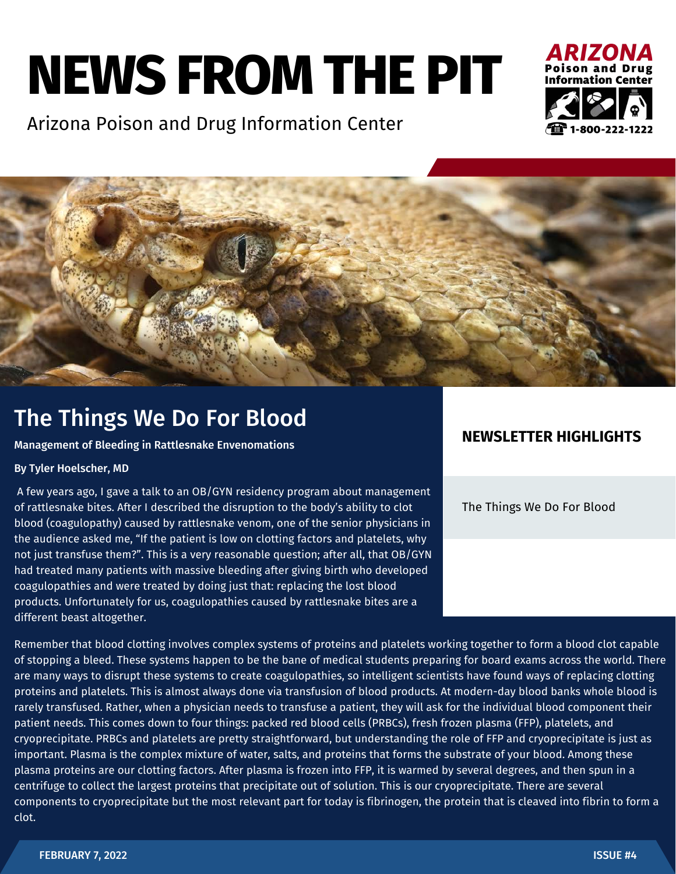# **NEWS FROM THE PIT**

Arizona Poison and Drug Information Center





## The Things We Do For Blood

Management of Bleeding in Rattlesnake Envenomations

#### By Tyler Hoelscher, MD

A few years ago, I gave a talk to an OB/GYN residency program about management of rattlesnake bites. After I described the disruption to the body's ability to clot blood (coagulopathy) caused by rattlesnake venom, one of the senior physicians in the audience asked me, "If the patient is low on clotting factors and platelets, why not just transfuse them?". This is a very reasonable question; after all, that OB/GYN had treated many patients with massive bleeding after giving birth who developed coagulopathies and were treated by doing just that: replacing the lost blood products. Unfortunately for us, coagulopathies caused by rattlesnake bites are a different beast altogether.

### **NEWSLETTER HIGHLIGHTS**

The Things We Do For Blood

Remember that blood clotting involves complex systems of proteins and platelets working together to form a blood clot capable of stopping a bleed. These systems happen to be the bane of medical students preparing for board exams across the world. There are many ways to disrupt these systems to create coagulopathies, so intelligent scientists have found ways of replacing clotting proteins and platelets. This is almost always done via transfusion of blood products. At modern-day blood banks whole blood is rarely transfused. Rather, when a physician needs to transfuse a patient, they will ask for the individual blood component their patient needs. This comes down to four things: packed red blood cells (PRBCs), fresh frozen plasma (FFP), platelets, and cryoprecipitate. PRBCs and platelets are pretty straightforward, but understanding the role of FFP and cryoprecipitate is just as important. Plasma is the complex mixture of water, salts, and proteins that forms the substrate of your blood. Among these plasma proteins are our clotting factors. After plasma is frozen into FFP, it is warmed by several degrees, and then spun in a centrifuge to collect the largest proteins that precipitate out of solution. This is our cryoprecipitate. There are several components to cryoprecipitate but the most relevant part for today is fibrinogen, the protein that is cleaved into fibrin to form a clot.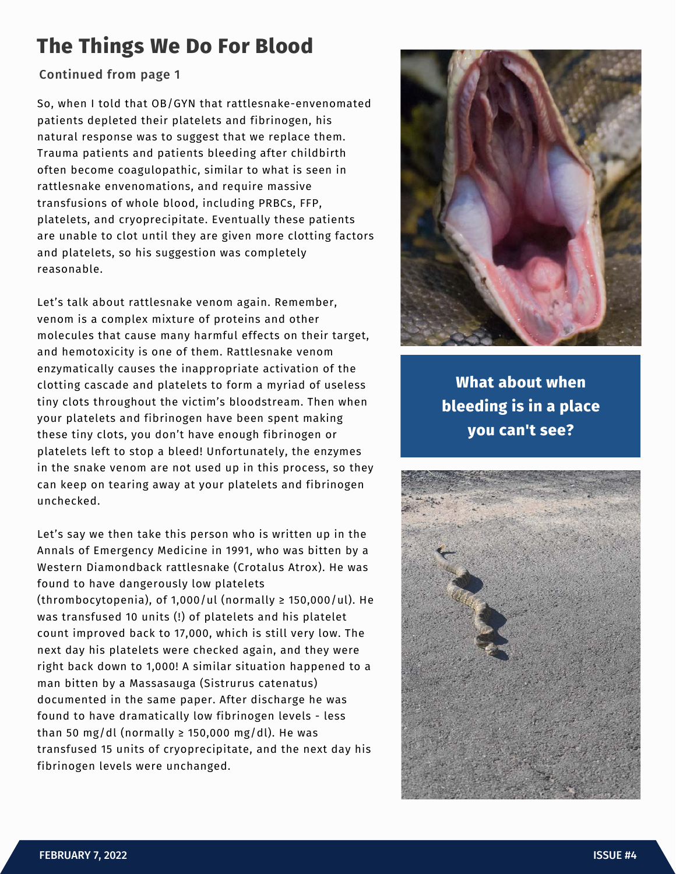## **The Things We Do For Blood**

#### Continued from page 1

So, when I told that OB/GYN that rattlesnake-envenomated patients depleted their platelets and fibrinogen, his natural response was to suggest that we replace them. Trauma patients and patients bleeding after childbirth often become coagulopathic, similar to what is seen in rattlesnake envenomations, and require massive transfusions of whole blood, including PRBCs, FFP, platelets, and cryoprecipitate. Eventually these patients are unable to clot until they are given more clotting factors and platelets, so his suggestion was completely reasonable.

Let's talk about rattlesnake venom again. Remember, venom is a complex mixture of proteins and other molecules that cause many harmful effects on their target, and hemotoxicity is one of them. Rattlesnake venom enzymatically causes the inappropriate activation of the clotting cascade and platelets to form a myriad of useless tiny clots throughout the victim's bloodstream. Then when your platelets and fibrinogen have been spent making these tiny clots, you don't have enough fibrinogen or platelets left to stop a bleed! Unfortunately, the enzymes in the snake venom are not used up in this process, so they can keep on tearing away at your platelets and fibrinogen unchecked.

Let's say we then take this person who is written up in the Annals of Emergency Medicine in 1991, who was bitten by a Western Diamondback rattlesnake (Crotalus Atrox). He was found to have dangerously low platelets (thrombocytopenia), of 1,000/ul (normally  $\geq$  150,000/ul). He was transfused 10 units (!) of platelets and his platelet count improved back to 17,000, which is still very low. The next day his platelets were checked again, and they were right back down to 1,000! A similar situation happened to a man bitten by a Massasauga (Sistrurus catenatus) documented in the same paper. After discharge he was found to have dramatically low fibrinogen levels - less than 50 mg/dl (normally  $\ge$  150,000 mg/dl). He was transfused 15 units of cryoprecipitate, and the next day his fibrinogen levels were unchanged.



**What about when bleeding is in a place you can't see?**

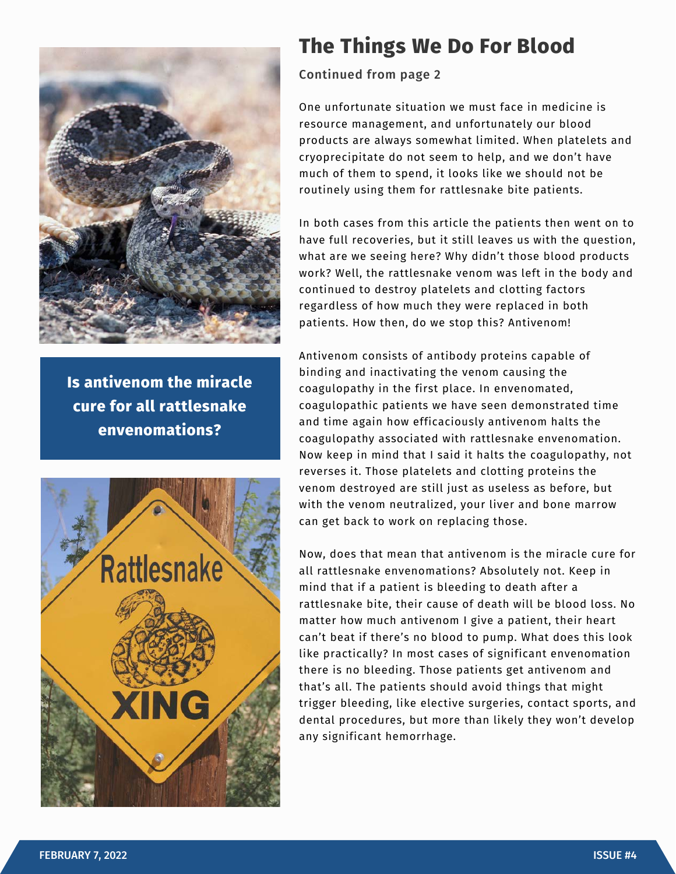

**Is antivenom the miracle cure for all rattlesnake envenomations?**



## **The Things We Do For Blood**

Continued from page 2

One unfortunate situation we must face in medicine is resource management, and unfortunately our blood products are always somewhat limited. When platelets and cryoprecipitate do not seem to help, and we don't have much of them to spend, it looks like we should not be routinely using them for rattlesnake bite patients.

In both cases from this article the patients then went on to have full recoveries, but it still leaves us with the question, what are we seeing here? Why didn't those blood products work? Well, the rattlesnake venom was left in the body and continued to destroy platelets and clotting factors regardless of how much they were replaced in both patients. How then, do we stop this? Antivenom!

Antivenom consists of antibody proteins capable of binding and inactivating the venom causing the coagulopathy in the first place. In envenomated, coagulopathic patients we have seen demonstrated time and time again how efficaciously antivenom halts the coagulopathy associated with rattlesnake envenomation. Now keep in mind that I said it halts the coagulopathy, not reverses it. Those platelets and clotting proteins the venom destroyed are still just as useless as before, but with the venom neutralized, your liver and bone marrow can get back to work on replacing those.

Now, does that mean that antivenom is the miracle cure for all rattlesnake envenomations? Absolutely not. Keep in mind that if a patient is bleeding to death after a rattlesnake bite, their cause of death will be blood loss. No matter how much antivenom I give a patient, their heart can't beat if there's no blood to pump. What does this look like practically? In most cases of significant envenomation there is no bleeding. Those patients get antivenom and that's all. The patients should avoid things that might trigger bleeding, like elective surgeries, contact sports, and dental procedures, but more than likely they won't develop any significant hemorrhage.